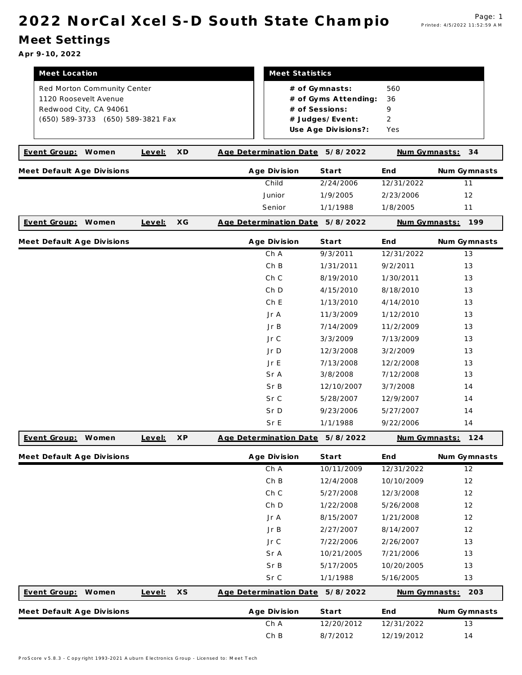## 2022 NorCal Xcel S-D South State Champio Page: 1

## Meet Settings

Apr 9-10, 2022

| Meet Location<br>Red Morton Community Center<br>1120 Roosevelt Avenue<br>Redwood City, CA 94061<br>(650) 589-3733 (650) 589-3821 Fax | Meet Statistics<br># of Gymnasts:<br># of Gyms Attending:<br># of Sessions:<br># Judges/Event:<br>Use Age Divisions?: |                                 |            |               |              |
|--------------------------------------------------------------------------------------------------------------------------------------|-----------------------------------------------------------------------------------------------------------------------|---------------------------------|------------|---------------|--------------|
| Event Group:<br>Women<br>Level:                                                                                                      | XD                                                                                                                    | Age Determination Date          | 5/8/2022   | Num Gymnasts: | 34           |
| Meet Default Age Divisions                                                                                                           |                                                                                                                       | Age Division                    | Start      | End           | Num Gymnasts |
|                                                                                                                                      |                                                                                                                       | Child                           | 2/24/2006  | 12/31/2022    | 11           |
|                                                                                                                                      |                                                                                                                       | Junior                          | 1/9/2005   | 2/23/2006     | 12           |
|                                                                                                                                      |                                                                                                                       | Senior                          | 1/1/1988   | 1/8/2005      | 11           |
| Event Group:<br>Women<br>Level:                                                                                                      | XG                                                                                                                    | Age Determination Date 5/8/2022 |            | Num Gymnasts: | 199          |
| Meet Default Age Divisions                                                                                                           |                                                                                                                       | Age Division                    | Start      | End           | Num Gymnasts |
|                                                                                                                                      |                                                                                                                       | Ch A                            | 9/3/2011   | 12/31/2022    | 13           |
|                                                                                                                                      |                                                                                                                       | ChB                             | 1/31/2011  | 9/2/2011      | 13           |
|                                                                                                                                      |                                                                                                                       | Ch C                            | 8/19/2010  | 1/30/2011     | 13           |
|                                                                                                                                      |                                                                                                                       | Ch <sub>D</sub>                 | 4/15/2010  | 8/18/2010     | 13           |
|                                                                                                                                      |                                                                                                                       | Ch E                            | 1/13/2010  | 4/14/2010     | 13           |
|                                                                                                                                      |                                                                                                                       | Jr A                            | 11/3/2009  | 1/12/2010     | 13           |
|                                                                                                                                      |                                                                                                                       | JrB                             | 7/14/2009  | 11/2/2009     | 13           |
|                                                                                                                                      |                                                                                                                       | Jr C                            | 3/3/2009   | 7/13/2009     | 13           |
|                                                                                                                                      |                                                                                                                       | Jr D                            | 12/3/2008  | 3/2/2009      | 13           |
|                                                                                                                                      |                                                                                                                       | Jr E                            | 7/13/2008  | 12/2/2008     | 13           |
|                                                                                                                                      |                                                                                                                       | Sr A                            | 3/8/2008   | 7/12/2008     | 13           |
|                                                                                                                                      |                                                                                                                       | Sr B                            | 12/10/2007 | 3/7/2008      | 14           |
|                                                                                                                                      |                                                                                                                       | Sr C                            | 5/28/2007  | 12/9/2007     | 14           |
|                                                                                                                                      |                                                                                                                       | Sr D                            | 9/23/2006  | 5/27/2007     | 14           |
|                                                                                                                                      |                                                                                                                       | Sr E                            | 1/1/1988   | 9/22/2006     | 14           |
| Event Group: Women<br>Level:                                                                                                         | <b>XP</b>                                                                                                             | Age Determination Date 5/8/2022 |            | Num Gymnasts: | 124          |
| Meet Default Age Divisions                                                                                                           |                                                                                                                       | Age Division                    | Start      | End           | Num Gymnasts |
|                                                                                                                                      |                                                                                                                       | Ch A                            | 10/11/2009 | 12/31/2022    | 12           |
|                                                                                                                                      |                                                                                                                       | Ch B                            | 12/4/2008  | 10/10/2009    | 12           |
|                                                                                                                                      |                                                                                                                       | Ch C                            | 5/27/2008  | 12/3/2008     | 12           |
|                                                                                                                                      |                                                                                                                       | Ch D                            | 1/22/2008  | 5/26/2008     | 12           |
|                                                                                                                                      |                                                                                                                       | Jr A                            | 8/15/2007  | 1/21/2008     | 12           |
|                                                                                                                                      |                                                                                                                       | JrB                             | 2/27/2007  | 8/14/2007     | 12           |
|                                                                                                                                      |                                                                                                                       | Jr C                            | 7/22/2006  | 2/26/2007     | 13           |
|                                                                                                                                      |                                                                                                                       | Sr A                            | 10/21/2005 | 7/21/2006     | 13           |
|                                                                                                                                      |                                                                                                                       | Sr B                            | 5/17/2005  | 10/20/2005    | 13           |
|                                                                                                                                      |                                                                                                                       | Sr C                            | 1/1/1988   | 5/16/2005     | $13$         |

| <u>Event Group:</u>        | Women | Level: | XS | Age Determination Date 5/8/2022 |              |            | Num Gymnasts: | 203          |
|----------------------------|-------|--------|----|---------------------------------|--------------|------------|---------------|--------------|
| Meet Default Age Divisions |       |        |    |                                 | Age Division | Start      | End           | Num Gymnasts |
|                            |       |        |    |                                 | Ch A         | 12/20/2012 | 12/31/2022    |              |
|                            |       |        |    |                                 | ChB          | 8/7/2012   | 12/19/2012    | 14           |